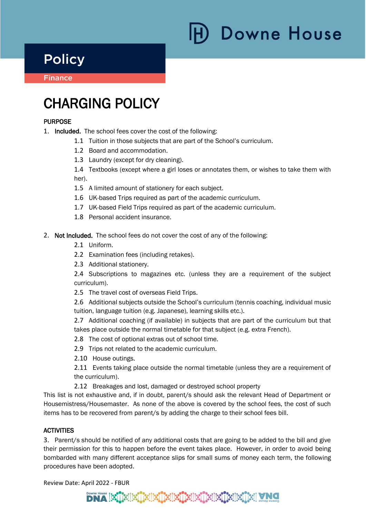# **Downe House**

## **Policy**

**Finance** Ï

i

## CHARGING POLICY

#### **PURPOSE**

- 1. Included. The school fees cover the cost of the following:
	- 1.1 Tuition in those subjects that are part of the School's curriculum.
	- 1.2 Board and accommodation.
	- 1.3 Laundry (except for dry cleaning).

1.4 Textbooks (except where a girl loses or annotates them, or wishes to take them with her).

- 1.5 A limited amount of stationery for each subject.
- 1.6 UK-based Trips required as part of the academic curriculum.
- 1.7 UK-based Field Trips required as part of the academic curriculum.
- 1.8 Personal accident insurance.
- 2. Not Included. The school fees do not cover the cost of any of the following:
	- 2.1 Uniform.
	- 2.2 Examination fees (including retakes).
	- 2.3 Additional stationery.

2.4 Subscriptions to magazines etc. (unless they are a requirement of the subject curriculum).

2.5 The travel cost of overseas Field Trips.

2.6 Additional subjects outside the School's curriculum (tennis coaching, individual music tuition, language tuition (e.g. Japanese), learning skills etc.).

2.7 Additional coaching (if available) in subjects that are part of the curriculum but that takes place outside the normal timetable for that subject (e.g. extra French).

2.8 The cost of optional extras out of school time.

2.9 Trips not related to the academic curriculum.

2.10 House outings.

2.11 Events taking place outside the normal timetable (unless they are a requirement of the curriculum).

2.12 Breakages and lost, damaged or destroyed school property

This list is not exhaustive and, if in doubt, parent/s should ask the relevant Head of Department or Housemistress/Housemaster. As none of the above is covered by the school fees, the cost of such items has to be recovered from parent/s by adding the charge to their school fees bill.

#### **ACTIVITIES**

3. Parent/s should be notified of any additional costs that are going to be added to the bill and give their permission for this to happen before the event takes place. However, in order to avoid being bombarded with many different acceptance slips for small sums of money each term, the following procedures have been adopted.

Review Date: April 2022 - FBUR

### <u>iki iki kirkiliki iki kirkiliki ikiliki</u>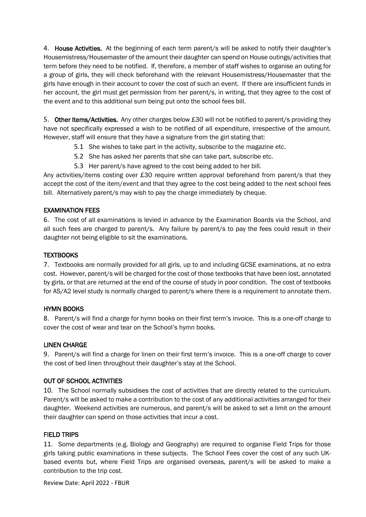4. House Activities. At the beginning of each term parent/s will be asked to notify their daughter's Housemistress/Housemaster of the amount their daughter can spend on House outings/activities that term before they need to be notified. If, therefore, a member of staff wishes to organise an outing for a group of girls, they will check beforehand with the relevant Housemistress/Housemaster that the girls have enough in their account to cover the cost of such an event. If there are insufficient funds in her account, the girl must get permission from her parent/s, in writing, that they agree to the cost of the event and to this additional sum being put onto the school fees bill.

5. Other Items/Activities. Any other charges below £30 will not be notified to parent/s providing they have not specifically expressed a wish to be notified of all expenditure, irrespective of the amount. However, staff will ensure that they have a signature from the girl stating that:

- 5.1 She wishes to take part in the activity, subscribe to the magazine etc.
- 5.2 She has asked her parents that she can take part, subscribe etc.
- 5.3 Her parent/s have agreed to the cost being added to her bill.

Any activities/items costing over £30 require written approval beforehand from parent/s that they accept the cost of the item/event and that they agree to the cost being added to the next school fees bill. Alternatively parent/s may wish to pay the charge immediately by cheque.

#### EXAMINATION FEES

6. The cost of all examinations is levied in advance by the Examination Boards via the School, and all such fees are charged to parent/s. Any failure by parent/s to pay the fees could result in their daughter not being eligible to sit the examinations.

#### TEXTBOOKS

7. Textbooks are normally provided for all girls, up to and including GCSE examinations, at no extra cost. However, parent/s will be charged for the cost of those textbooks that have been lost, annotated by girls, or that are returned at the end of the course of study in poor condition. The cost of textbooks for AS/A2 level study is normally charged to parent/s where there is a requirement to annotate them.

#### HYMN BOOKS

8. Parent/s will find a charge for hymn books on their first term's invoice. This is a one-off charge to cover the cost of wear and tear on the School's hymn books.

#### LINEN CHARGE

9. Parent/s will find a charge for linen on their first term's invoice. This is a one-off charge to cover the cost of bed linen throughout their daughter's stay at the School.

#### OUT OF SCHOOL ACTIVITIES

10. The School normally subsidises the cost of activities that are directly related to the curriculum. Parent/s will be asked to make a contribution to the cost of any additional activities arranged for their daughter. Weekend activities are numerous, and parent/s will be asked to set a limit on the amount their daughter can spend on those activities that incur a cost.

#### FIELD TRIPS

11. Some departments (e.g. Biology and Geography) are required to organise Field Trips for those girls taking public examinations in these subjects. The School Fees cover the cost of any such UKbased events but, where Field Trips are organised overseas, parent/s will be asked to make a contribution to the trip cost.

Review Date: April 2022 - FBUR